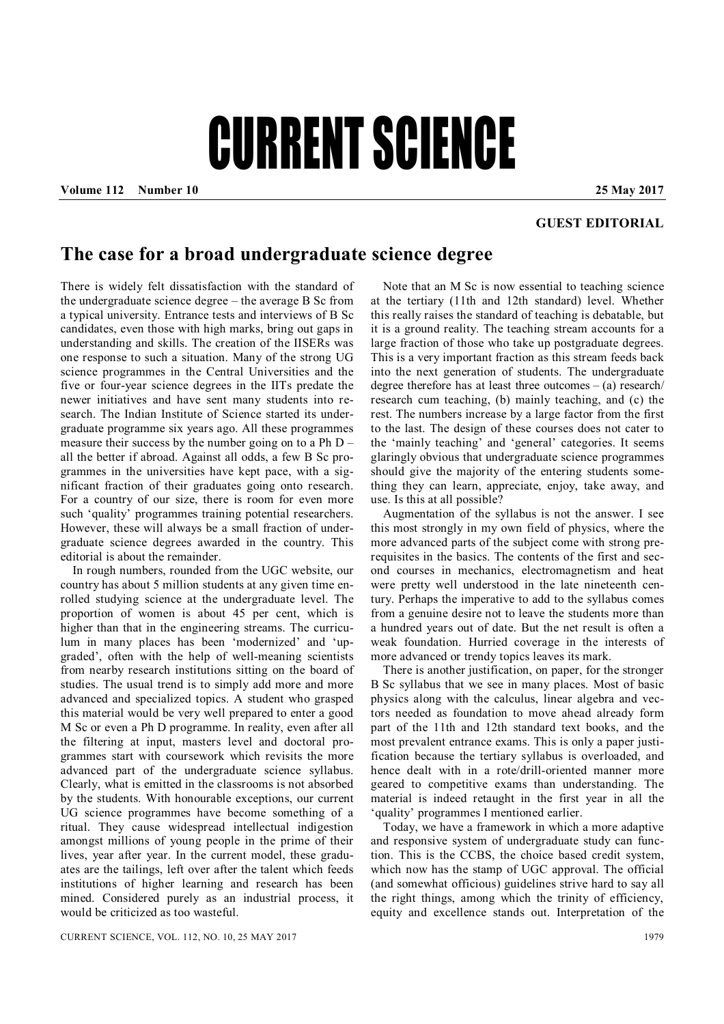## CURRENT SCIENCE

**Volume 112 Number 10 25 May 2017**

## **GUEST EDITORIAL**

## **The case for a broad undergraduate science degree**

There is widely felt dissatisfaction with the standard of the undergraduate science degree – the average B Sc from a typical university. Entrance tests and interviews of B Sc candidates, even those with high marks, bring out gaps in understanding and skills. The creation of the IISERs was one response to such a situation. Many of the strong UG science programmes in the Central Universities and the five or four-year science degrees in the IITs predate the newer initiatives and have sent many students into research. The Indian Institute of Science started its undergraduate programme six years ago. All these programmes measure their success by the number going on to a Ph D – all the better if abroad. Against all odds, a few B Sc programmes in the universities have kept pace, with a significant fraction of their graduates going onto research. For a country of our size, there is room for even more such 'quality' programmes training potential researchers. However, these will always be a small fraction of undergraduate science degrees awarded in the country. This editorial is about the remainder.

In rough numbers, rounded from the UGC website, our country has about 5 million students at any given time enrolled studying science at the undergraduate level. The proportion of women is about 45 per cent, which is higher than that in the engineering streams. The curriculum in many places has been 'modernized' and 'upgraded', often with the help of well-meaning scientists from nearby research institutions sitting on the board of studies. The usual trend is to simply add more and more advanced and specialized topics. A student who grasped this material would be very well prepared to enter a good M Sc or even a Ph D programme. In reality, even after all the filtering at input, masters level and doctoral programmes start with coursework which revisits the more advanced part of the undergraduate science syllabus. Clearly, what is emitted in the classrooms is not absorbed by the students. With honourable exceptions, our current UG science programmes have become something of a ritual. They cause widespread intellectual indigestion amongst millions of young people in the prime of their lives, year after year. In the current model, these graduates are the tailings, left over after the talent which feeds institutions of higher learning and research has been mined. Considered purely as an industrial process, it would be criticized as too wasteful.

Note that an M Sc is now essential to teaching science at the tertiary (11th and 12th standard) level. Whether this really raises the standard of teaching is debatable, but it is a ground reality. The teaching stream accounts for a large fraction of those who take up postgraduate degrees. This is a very important fraction as this stream feeds back into the next generation of students. The undergraduate degree therefore has at least three outcomes – (a) research/ research cum teaching, (b) mainly teaching, and (c) the rest. The numbers increase by a large factor from the first to the last. The design of these courses does not cater to the 'mainly teaching' and 'general' categories. It seems glaringly obvious that undergraduate science programmes should give the majority of the entering students something they can learn, appreciate, enjoy, take away, and use. Is this at all possible?

Augmentation of the syllabus is not the answer. I see this most strongly in my own field of physics, where the more advanced parts of the subject come with strong prerequisites in the basics. The contents of the first and second courses in mechanics, electromagnetism and heat were pretty well understood in the late nineteenth century. Perhaps the imperative to add to the syllabus comes from a genuine desire not to leave the students more than a hundred years out of date. But the net result is often a weak foundation. Hurried coverage in the interests of more advanced or trendy topics leaves its mark.

There is another justification, on paper, for the stronger B Sc syllabus that we see in many places. Most of basic physics along with the calculus, linear algebra and vectors needed as foundation to move ahead already form part of the 11th and 12th standard text books, and the most prevalent entrance exams. This is only a paper justification because the tertiary syllabus is overloaded, and hence dealt with in a rote/drill-oriented manner more geared to competitive exams than understanding. The material is indeed retaught in the first year in all the 'quality' programmes I mentioned earlier.

Today, we have a framework in which a more adaptive and responsive system of undergraduate study can function. This is the CCBS, the choice based credit system, which now has the stamp of UGC approval. The official (and somewhat officious) guidelines strive hard to say all the right things, among which the trinity of efficiency, equity and excellence stands out. Interpretation of the